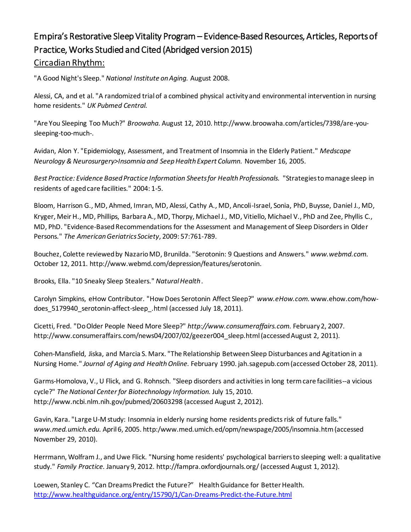# Empira's Restorative Sleep Vitality Program – Evidence-Based Resources, Articles, Reports of Practice, Works Studied and Cited (Abridged version 2015) Circadian Rhythm:

"A Good Night's Sleep." *National Institute on Aging.* August 2008.

Alessi, CA, and et al. "A randomized trial of a combined physical activity and environmental intervention in nursing home residents." *UK Pubmed Central.*

"Are You Sleeping Too Much?" *Broowaha.* August 12, 2010. http://www.broowaha.com/articles/7398/are-yousleeping-too-much-.

Avidan, Alon Y. "Epidemiology, Assessment, and Treatment of Insomnia in the Elderly Patient." *Medscape Neurology & Neurosurgery>Insomnia and Seep Health Expert Column.* November 16, 2005.

*Best Practice: Evidence Based Practice Information Sheets for Health Professionals.* "Strategies to manage sleep in residents of aged care facilities." 2004: 1-5.

Bloom, Harrison G., MD, Ahmed, Imran, MD, Alessi, Cathy A., MD, Ancoli-Israel, Sonia, PhD, Buysse, Daniel J., MD, Kryger, Meir H., MD, Phillips, Barbara A., MD, Thorpy, Michael J., MD, Vitiello, Michael V., PhD and Zee, Phyllis C., MD, PhD. "Evidence-Based Recommendations for the Assessment and Management of Sleep Disorders in Older Persons." *The American Geriatrics Society*, 2009: 57:761-789.

Bouchez, Colette reviewed by Nazario MD, Brunilda. "Serotonin: 9 Questions and Answers." *www.webmd.com.* October 12, 2011. http://www.webmd.com/depression/features/serotonin.

Brooks, Ella. "10 Sneaky Sleep Stealers." *Natural Health .*

Carolyn Simpkins, eHow Contributor. "How Does Serotonin Affect Sleep?" *www.eHow.com.*www.ehow.com/howdoes\_5179940\_serotonin-affect-sleep\_.html (accessed July 18, 2011).

Cicetti, Fred. "Do Older People Need More Sleep?" *http://www.consumeraffairs.com.* February 2, 2007. http://www.consumeraffairs.com/news04/2007/02/geezer004\_sleep.html (accessed August 2, 2011).

Cohen-Mansfield, Jiska, and Marcia S. Marx. "The Relationship Between Sleep Disturbances and Agitation in a Nursing Home." *Journal of Aging and Health Online.* February 1990. jah.sagepub.com (accessed October 28, 2011).

Garms-Homolova, V., U Flick, and G. Rohnsch. "Sleep disorders and activities in long term care facilities--a vicious cycle?" *The National Center for Biotechnology Information.* July 15, 2010. http://www.ncbi.nlm.nih.gov/pubmed/20603298 (accessed August 2, 2012).

Gavin, Kara. "Large U-M study: Insomnia in elderly nursing home residents predicts risk of future falls." *www.med.umich.edu.* April 6, 2005. http:/www.med.umich.ed/opm/newspage/2005/insomnia.htm (accessed November 29, 2010).

Herrmann, Wolfram J., and Uwe Flick. "Nursing home residents' psychological barriers to sleeping well: a qualitative study." *Family Practice.* January 9, 2012. http://fampra.oxfordjournals.org/ (accessed August 1, 2012).

Loewen, Stanley C. "Can Dreams Predict the Future?" Health Guidance for Better Health. <http://www.healthguidance.org/entry/15790/1/Can-Dreams-Predict-the-Future.html>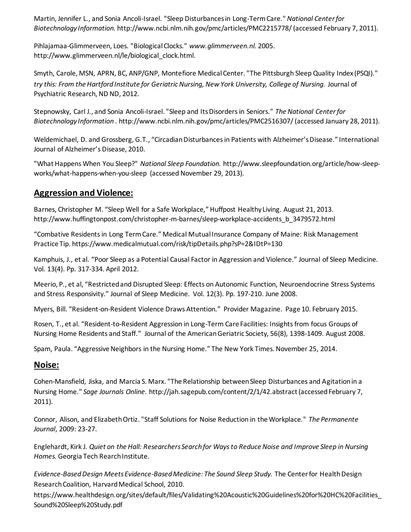Martin, Jennifer L., and Sonia Ancoli-Israel. "Sleep Disturbances in Long-Term Care." *National Center for Biotechnology Information.* http://www.ncbi.nlm.nih.gov/pmc/articles/PMC2215778/ (accessed February 7, 2011).

Pihlajamaa-Glimmerveen, Loes. "Biological Clocks." *www.glimmerveen.nl.* 2005. http://www.glimmerveen.nl/le/biological\_clock.html.

Smyth, Carole, MSN, APRN, BC, ANP/GNP, Montefiore Medical Center. "The Pittsburgh Sleep Quality Index (PSQI)." *try this: From the Hartford Institute for Geriatric Nursing, New York University, College of Nursing.* Journal of Psychiatric Research, ND ND, 2012.

Stepnowsky, Carl J., and Sonia Ancoli-Israel. "Sleep and Its Disorders in Seniors." *The National Center for Biotechnology Information .* http://www.ncbi.nlm.nih.gov/pmc/articles/PMC2516307/ (accessed January 28, 2011).

Weldemichael, D. and Grossberg, G.T., "Circadian Disturbances in Patients with Alzheimer's Disease." International Journal of Alzheimer's Disease, 2010.

"What Happens When You Sleep?" *National Sleep Foundation.* http://www.sleepfoundation.org/article/how-sleepworks/what-happens-when-you-sleep (accessed November 29, 2013).

## **Aggression and Violence:**

Barnes, Christopher M. "Sleep Well for a Safe Workplace," Huffpost Healthy Living. August 21, 2013. http://www.huffingtonpost.com/christopher-m-barnes/sleep-workplace-accidents\_b\_3479572.html

"Combative Residents in Long Term Care." Medical Mutual Insurance Company of Maine: Risk Management Practice Tip. https://www.medicalmutual.com/risk/tipDetails.php?sP=2&IDtP=130

Kamphuis, J., et al. "Poor Sleep as a Potential Causal Factor in Aggression and Violence." Journal of Sleep Medicine. Vol. 13(4). Pp. 317-334. April 2012.

Meerio, P., et al, "Restricted and Disrupted Sleep: Effects on Autonomic Function, Neuroendocrine Stress Systems and Stress Responsivity." Journal of Sleep Medicine. Vol. 12(3). Pp. 197-210. June 2008.

Myers, Bill. "Resident-on-Resident Violence Draws Attention." Provider Magazine. Page 10. February 2015.

Rosen, T., et al. "Resident-to-Resident Aggression in Long-Term Care Facilities: Insights from focus Groups of Nursing Home Residents and Staff." Journal of the American Geriatric Society, 56(8), 1398-1409. August 2008.

Spam, Paula. "Aggressive Neighbors in the Nursing Home." The New York Times. November 25, 2014.

## **Noise:**

Cohen-Mansfield, Jiska, and Marcia S. Marx. "The Relationship between Sleep Disturbances and Agitation in a Nursing Home." *Sage Journals Online.* http://jah.sagepub.com/content/2/1/42.abstract (accessed February 7, 2011).

Connor, Alison, and Elizabeth Ortiz. "Staff Solutions for Noise Reduction in the Workplace." *The Permanente Journal*, 2009: 23-27.

Englehardt, Kirk J. *Quiet on the Hall: Researchers Search for Ways to Reduce Noise and Improve Sleep in Nursing Homes.* Georgia Tech Rearch Institute.

*Evidence-Based Design Meets Evidence-Based Medicine: The Sound Sleep Study.* The Center for Health Design Research Coalition, Harvard Medical School, 2010.

https://www.healthdesign.org/sites/default/files/Validating%20Acoustic%20Guidelines%20for%20HC%20Facilities\_ Sound%20Sleep%20Study.pdf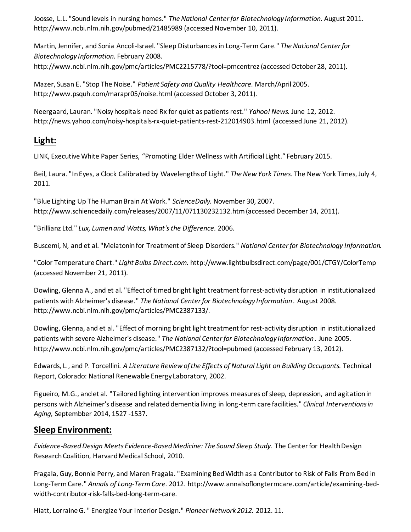Joosse, L.L. "Sound levels in nursing homes." *The National Center for Biotechnology Information.* August 2011. http://www.ncbi.nlm.nih.gov/pubmed/21485989 (accessed November 10, 2011).

Martin, Jennifer, and Sonia Ancoli-Israel. "Sleep Disturbances in Long-Term Care." *The National Center for Biotechnology Information.* February 2008. http://www.ncbi.nlm.nih.gov/pmc/articles/PMC2215778/?tool=pmcentrez (accessed October 28, 2011).

Mazer, Susan E. "Stop The Noise." *Patient Safety and Quality Healthcare.* March/April 2005. http://www.psquh.com/marapr05/noise.html (accessed October 3, 2011).

Neergaard, Lauran. "Noisy hospitals need Rx for quiet as patients rest." *Yahoo! News.* June 12, 2012. http://news.yahoo.com/noisy-hospitals-rx-quiet-patients-rest-212014903.html (accessed June 21, 2012).

## **Light:**

LINK, Executive White Paper Series, "Promoting Elder Wellness with Artificial Light." February 2015.

Beil, Laura. "In Eyes, a Clock Calibrated by Wavelengths of Light." *The New York Times.* The New York Times, July 4, 2011.

"Blue Lighting Up The Human Brain At Work." *ScienceDaily.* November 30, 2007. http://www.schiencedaily.com/releases/2007/11/071130232132.htm (accessed December 14, 2011).

"Brillianz Ltd." *Lux, Lumen and Watts, What's the Difference.* 2006.

Buscemi, N, and et al. "Melatonin for Treatment of Sleep Disorders." *National Center for Biotechnology Information.*

"Color Temperature Chart." *Light Bulbs Direct.com.* http://www.lightbulbsdirect.com/page/001/CTGY/ColorTemp (accessed November 21, 2011).

Dowling, Glenna A., and et al. "Effect of timed bright light treatment for rest-activity disruption in institutionalized patients with Alzheimer's disease." *The National Center for Biotechnology Information .* August 2008. http://www.ncbi.nlm.nih.gov/pmc/articles/PMC2387133/.

Dowling, Glenna, and et al. "Effect of morning bright light treatment for rest-activity disruption in institutionalized patients with severe Alzheimer's disease." *The National Center for Biotechnology Information .* June 2005. http://www.ncbi.nlm.nih.gov/pmc/articles/PMC2387132/?tool=pubmed (accessed February 13, 2012).

Edwards, L., and P. Torcellini. *A Literature Review of the Effects of Natural Light on Building Occupants.* Technical Report, Colorado: National Renewable Energy Laboratory, 2002.

Figueiro, M.G., and et al. "Tailored lighting intervention improves measures of sleep, depression, and agitation in persons with Alzheimer's disease and related dementia living in long-term care facilities." *Clinical Interventions in Aging,* Septembber 2014, 1527 -1537.

#### **Sleep Environment:**

*Evidence-Based Design Meets Evidence-Based Medicine: The Sound Sleep Study.* The Center for Health Design Research Coalition, Harvard Medical School, 2010.

Fragala, Guy, Bonnie Perry, and Maren Fragala. "Examining Bed Width as a Contributor to Risk of Falls From Bed in Long-Term Care." *Annals of Long-Term Care.* 2012. http://www.annalsoflongtermcare.com/article/examining-bedwidth-contributor-risk-falls-bed-long-term-care.

Hiatt, Lorraine G. " Energize Your Interior Design." *Pioneer Network 2012.* 2012. 11.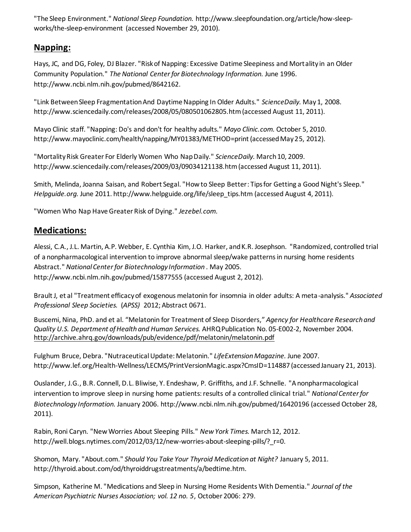"The Sleep Environment." *National Sleep Foundation.* http://www.sleepfoundation.org/article/how-sleepworks/the-sleep-environment (accessed November 29, 2010).

# **Napping:**

Hays, JC, and DG, Foley, DJ Blazer. "Risk of Napping: Excessive Datime Sleepiness and Mortality in an Older Community Population." *The National Center for Biotechnology Information.* June 1996. http://www.ncbi.nlm.nih.gov/pubmed/8642162.

"Link Between Sleep Fragmentation And Daytime Napping In Older Adults." *ScienceDaily.* May 1, 2008. http://www.sciencedaily.com/releases/2008/05/080501062805.htm (accessed August 11, 2011).

Mayo Clinic staff. "Napping: Do's and don't for healthy adults." *Mayo Clinic.com.* October 5, 2010. http://www.mayoclinic.com/health/napping/MY01383/METHOD=print (accessed May 25, 2012).

"Mortality Risk Greater For Elderly Women Who Nap Daily." *ScienceDaily.* March 10, 2009. http://www.sciencedaily.com/releases/2009/03/09034121138.htm (accessed August 11, 2011).

Smith, Melinda, Joanna Saisan, and Robert Segal. "How to Sleep Better: Tips for Getting a Good Night's Sleep." *Helpguide.org.* June 2011. http://www.helpguide.org/life/sleep\_tips.htm (accessed August 4, 2011).

"Women Who Nap Have Greater Risk of Dying." *Jezebel.com.*

# **Medications:**

Alessi, C.A., J.L. Martin, A.P. Webber, E. Cynthia Kim, J.O. Harker, and K.R. Josephson. "Randomized, controlled trial of a nonpharmacological intervention to improve abnormal sleep/wake patterns in nursing home residents Abstract." *National Center for Biotechnology Information .* May 2005. http://www.ncbi.nlm.nih.gov/pubmed/15877555 (accessed August 2, 2012).

Brault J, et al "Treatment efficacy of exogenous melatonin for insomnia in older adults: A meta-analysis." *Associated Professional Sleep Societies.* (*APSS)* 2012; Abstract 0671.

Buscemi, Nina, PhD. and et al. "Melatonin for Treatment of Sleep Disorders," *Agency for Healthcare Research and Quality U.S. Department of Health and Human Services.* AHRQ Publication No. 05-E002-2, November 2004. <http://archive.ahrq.gov/downloads/pub/evidence/pdf/melatonin/melatonin.pdf>

Fulghum Bruce, Debra. "Nutraceutical Update: Melatonin." *LifeExtension Magazine.* June 2007. http://www.lef.org/Health-Wellness/LECMS/PrintVersionMagic.aspx?CmsID=114887 (accessed January 21, 2013).

Ouslander, J.G., B.R. Connell, D.L. Bliwise, Y. Endeshaw, P. Griffiths, and J.F. Schnelle. "A nonpharmacological intervention to improve sleep in nursing home patients: results of a controlled clinical trial." *National Center for Biotechnology Information.* January 2006. http://www.ncbi.nlm.nih.gov/pubmed/16420196 (accessed October 28, 2011).

Rabin, Roni Caryn. "New Worries About Sleeping Pills." *New York Times.* March 12, 2012. http://well.blogs.nytimes.com/2012/03/12/new-worries-about-sleeping-pills/? r=0.

Shomon, Mary. "About.com." *Should You Take Your Thyroid Medication at Night?* January 5, 2011. http://thyroid.about.com/od/thyroiddrugstreatments/a/bedtime.htm.

Simpson, Katherine M. "Medications and Sleep in Nursing Home Residents With Dementia." *Journal of the American Psychiatric Nurses Association; vol. 12 no. 5*, October 2006: 279.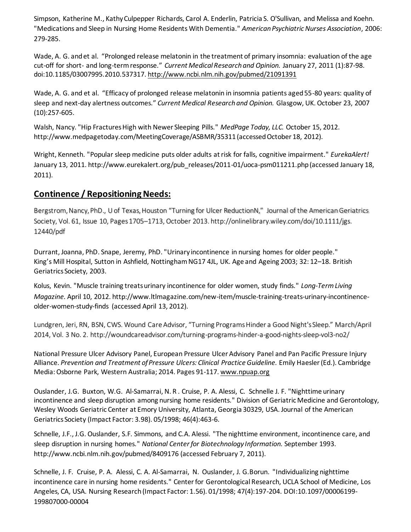Simpson, Katherine M., Kathy Culpepper Richards, Carol A. Enderlin, Patricia S. O'Sullivan, and Melissa and Koehn. "Medications and Sleep in Nursing Home Residents With Dementia." *American Psychiatric Nurses Association*, 2006: 279-285.

[Wade, A. G.](http://www.ncbi.nlm.nih.gov/pubmed?term=Wade%20AG%5BAuthor%5D&cauthor=true&cauthor_uid=17875243) and et al. "Prolonged release melatonin in the treatment of primary insomnia: evaluation of the age cut-off for short- and long-term response." *[Current Medical Research and Opinion.](http://www.ncbi.nlm.nih.gov/pubmed/21091391)* January 27, 2011 (1):87-98. doi:10.1185/03007995.2010.537317[. http://www.ncbi.nlm.nih.gov/pubmed/21091391](http://www.ncbi.nlm.nih.gov/pubmed/21091391)

Wade, A. G. and et al. "Efficacy of prolonged release melatonin in insomnia patients aged 55-80 years: quality of sleep and next-day alertness outcomes." *[Current Medical Research and Opinion.](http://www.ncbi.nlm.nih.gov/pubmed/17875243)* Glasgow, UK. October 23, 2007 (10):257-605.

Walsh, Nancy. "Hip Fractures High with Newer Sleeping Pills." *MedPage Today, LLC.* October 15, 2012. http://www.medpagetoday.com/MeetingCoverage/ASBMR/35311 (accessed October 18, 2012).

Wright, Kenneth. "Popular sleep medicine puts older adults at risk for falls, cognitive impairment." *EurekaAlert!* January 13, 2011. http://www.eurekalert.org/pub\_releases/2011-01/uoca-psm011211.php (accessed January 18, 2011).

#### **Continence / Repositioning Needs:**

Bergstrom, Nancy, PhD., U of Texas, Houston "Turning for Ulcer ReductionN," Journal of the American Geriatrics Society, Vol. 61, Issue 10, Pages 1705–1713, October 2013[. http://onlinelibrary.wiley.com/doi/10.1111/jgs.](http://onlinelibrary.wiley.com/doi/10.1111/jgs.12440/pdf)  [12440/pdf](http://onlinelibrary.wiley.com/doi/10.1111/jgs.12440/pdf)

Durrant, Joanna, PhD. Snape, Jeremy, PhD. "Urinary incontinence in nursing homes for older people." King's Mill Hospital, Sutton in Ashfield, Nottingham NG17 4JL, UK. Age and Ageing 2003; 32: 12–18. British Geriatrics Society, 2003.

Kolus, Kevin. "Muscle training treats urinary incontinence for older women, study finds." *Long-Term Living Magazine.* April 10, 2012. http://www.ltlmagazine.com/new-item/muscle-training-treats-urinary-incontinenceolder-women-study-finds (accessed April 13, 2012).

Lundgren, Jeri, RN, BSN, CWS. Wound Care Advisor, "Turning Programs Hinder a Good Night's Sleep." March/April 2014, Vol. 3 No. 2. <http://woundcareadvisor.com/turning-programs-hinder-a-good-nights-sleep-vol3-no2/>

National Pressure Ulcer Advisory Panel, European Pressure Ulcer Advisory Panel and Pan Pacific Pressure Injury Alliance. *Prevention and Treatment of Pressure Ulcers: Clinical Practice Guideline.* Emily Haesler (Ed.). Cambridge Media: Osborne Park, Western Australia; 2014. Pages 91-117[. www.npuap.org](http://www.npuap.org/)

[Ouslander,](http://www.researchgate.net/researcher/38557241_J_G_Ouslander/) J.G[. Buxton,](http://www.researchgate.net/researcher/33036010_W_G_Buxton/) W.G[. Al-Samarrai,](http://www.researchgate.net/researcher/39962049_N_R_Al-Samarrai/) N. R . [Cruise,](http://www.researchgate.net/researcher/38773237_P_A_Cruise/) P. A. [Alessi,](http://www.researchgate.net/researcher/40081353_C_Alessi/) C. [Schnelle](http://www.researchgate.net/researcher/38562481_J_F_Schnelle/) J. F. "Nighttime urinary incontinence and sleep disruption among nursing home residents." Division of Geriatric Medicine and Gerontology, Wesley Woods Geriatric Center at Emory University, Atlanta, Georgia 30329, USA[. Journal of the American](http://www.researchgate.net/journal/0002-8614_Journal_of_the_American_Geriatrics_Society)  [Geriatrics Society](http://www.researchgate.net/journal/0002-8614_Journal_of_the_American_Geriatrics_Society) (Impact Factor: 3.98). 05/1998; 46(4):463-6.

Schnelle, J.F., J.G. Ouslander, S.F. Simmons, and C.A. Alessi. "The nighttime environment, incontinence care, and sleep disruption in nursing homes." *National Center for Biotechnology Information.* September 1993. http://www.ncbi.nlm.nih.gov/pubmed/8409176 (accessed February 7, 2011).

[Schnelle,](http://www.researchgate.net/researcher/38562481_J_F_Schnelle/) J. F. [Cruise,](http://www.researchgate.net/researcher/38773237_P_A_Cruise/) P. A. [Alessi,](http://www.researchgate.net/researcher/40081353_C_A_Alessi/) C. A. [Al-Samarrai,](http://www.researchgate.net/researcher/39962049_N_Al-Samarrai/) N. [Ouslander,](http://www.researchgate.net/researcher/38557241_J_G_Ouslander/) J. G.Borun. "Individualizing nighttime incontinence care in nursing home residents." Center for Gerontological Research, UCLA School of Medicine, Los Angeles, CA, USA. [Nursing Research](http://www.researchgate.net/journal/0029-6562_Nursing_Research) (Impact Factor: 1.56). 01/1998; 47(4):197-204. DOI:10.1097/00006199- 199807000-00004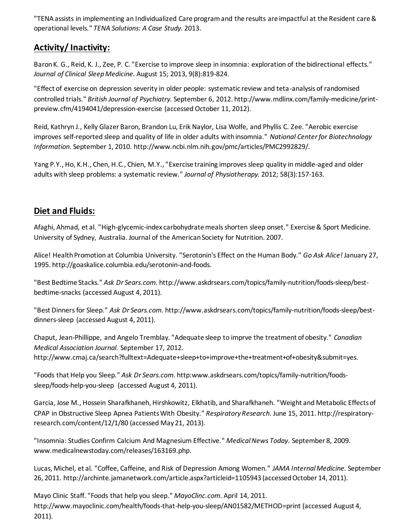"TENA assists in implementing an Individualized Care program and the results are impactful at the Resident care & operational levels." *TENA Solutions: A Case Study.* 2013.

# **Activity/ Inactivity:**

[Baron K. G.](http://www.ncbi.nlm.nih.gov/pubmed?term=Baron%20KG%5BAuthor%5D&cauthor=true&cauthor_uid=23946713)[, Reid, K. J.](http://www.ncbi.nlm.nih.gov/pubmed?term=Reid%20KJ%5BAuthor%5D&cauthor=true&cauthor_uid=23946713), [Zee, P. C.](http://www.ncbi.nlm.nih.gov/pubmed?term=Zee%20PC%5BAuthor%5D&cauthor=true&cauthor_uid=23946713) "Exercise to improve sleep in insomnia: exploration of the bidirectional effects." *[Journal of Clinical Sleep Medicine.](http://www.ncbi.nlm.nih.gov/pubmed/23946713)* August 15; 2013, 9(8):819-824.

"Effect of exercise on depression severity in older people: systematic review and teta-analysis of randomised controlled trials." *British Journal of Psychiatry.* September 6, 2012. http://www.mdlinx.com/family-medicine/printpreview.cfm/4194041/depression-exercise (accessed October 11, 2012).

Reid, Kathryn J., Kelly Glazer Baron, Brandon Lu, Erik Naylor, Lisa Wolfe, and Phyllis C. Zee. "Aerobic exercise improves self-reported sleep and quality of life in older adults with insomnia." *National Center for Biotechnology Information.* September 1, 2010. http://www.ncbi.nlm.nih.gov/pmc/articles/PMC2992829/.

[Yang P.Y.](http://www.ncbi.nlm.nih.gov/pubmed?term=Yang%20PY%5BAuthor%5D&cauthor=true&cauthor_uid=22884182), [Ho, K.H.](http://www.ncbi.nlm.nih.gov/pubmed?term=Ho%20KH%5BAuthor%5D&cauthor=true&cauthor_uid=22884182)[, Chen, H.C.](http://www.ncbi.nlm.nih.gov/pubmed?term=Chen%20HC%5BAuthor%5D&cauthor=true&cauthor_uid=22884182)[, Chien, M.Y.](http://www.ncbi.nlm.nih.gov/pubmed?term=Chien%20MY%5BAuthor%5D&cauthor=true&cauthor_uid=22884182), "Exercise training improves sleep quality in middle-aged and older adults with sleep problems: a systematic review." *Journal of Physiotherapy.* 2012; 58(3):157-163.

## **Diet and Fluids:**

Afaghi, Ahmad, et al. "High-glycemic-index carbohydrate meals shorten sleep onset." Exercise & Sport Medicine. University of Sydney, Australia. Journal of the American Society for Nutrition. 2007.

Alice! Health Promotion at Columbia University. "Serotonin's Effect on the Human Body." *Go Ask Alice!* January 27, 1995. http://goaskalice.columbia.edu/serotonin-and-foods.

"Best Bedtime Stacks." *Ask Dr Sears.com.* http://www.askdrsears.com/topics/family-nutrition/foods-sleep/bestbedtime-snacks (accessed August 4, 2011).

"Best Dinners for Sleep." *Ask Dr Sears.com.* http://www.askdrsears.com/topics/family-nutrition/foods-sleep/bestdinners-sleep (accessed August 4, 2011).

Chaput, Jean-Phillippe, and Angelo Tremblay. "Adequate sleep to imprve the treatment of obesity." *Canadian Medical Association Journal.* September 17, 2012. http://www.cmaj.ca/search?fulltext=Adequate+sleep+to+improve+the+treatment+of+obesity&submit=yes.

"Foods that Help you Sleep." *Ask Dr Sears.com.* http:www.askdrsears.com/topics/family-nutrition/foodssleep/foods-help-you-sleep (accessed August 4, 2011).

Garcia, Jose M., Hossein Sharafkhaneh, Hirshkowitz, Elkhatib, and Sharafkhaneh. "Weight and Metabolic Effects of CPAP in Obstructive Sleep Apnea Patients With Obesity." *Respiratory Research.* June 15, 2011. http://respiratoryresearch.com/content/12/1/80 (accessed May 21, 2013).

"Insomnia: Studies Confirm Calcium And Magnesium Effective." *Medical News Today.* September 8, 2009. www.medicalnewstoday.com/releases/163169.php.

Lucas, Michel, et al. "Coffee, Caffeine, and Risk of Depression Among Women." *JAMA Internal Medicine.* September 26, 2011. http://archinte.jamanetwork.com/article.aspx?articleid=1105943 (accessed October 14, 2011).

Mayo Clinic Staff. "Foods that help you sleep." *MayoClinc.com.* April 14, 2011. http://www.mayoclinic.com/health/foods-that-help-you-sleep/AN01582/METHOD=print (accessed August 4, 2011).